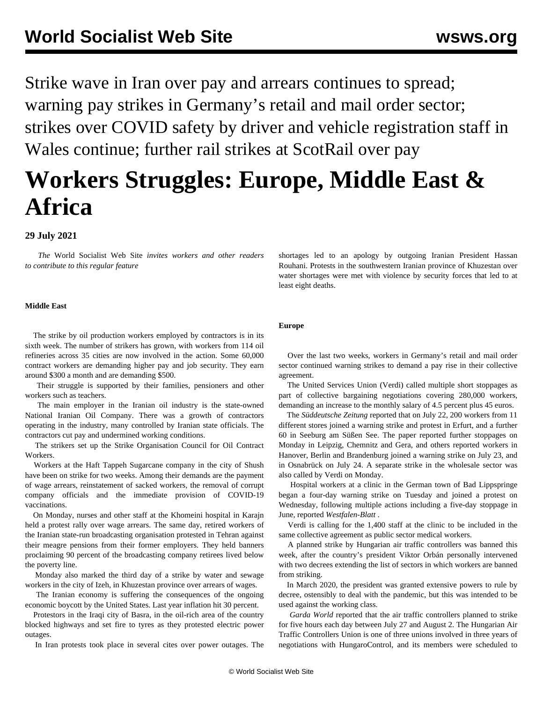Strike wave in Iran over pay and arrears continues to spread; warning pay strikes in Germany's retail and mail order sector; strikes over COVID safety by driver and vehicle registration staff in Wales continue; further rail strikes at ScotRail over pay

# **Workers Struggles: Europe, Middle East & Africa**

## **29 July 2021**

 *The* World Socialist Web Site *invites workers and other readers to [contribute](/wsws/dd-formmailer/dd-formmailer.php) to this regular feature*

#### **Middle East**

 The strike by oil production workers employed by contractors is in its sixth week. The number of strikers has grown, with workers from 114 oil refineries across 35 cities are now involved in the action. Some 60,000 contract workers are demanding higher pay and job security. They earn around \$300 a month and are demanding \$500.

 Their struggle is supported by their families, pensioners and other workers such as teachers.

 The main employer in the Iranian oil industry is the state-owned National Iranian Oil Company. There was a growth of contractors operating in the industry, many controlled by Iranian state officials. The contractors cut pay and undermined working conditions.

 The strikers set up the Strike Organisation Council for Oil Contract Workers.

 Workers at the Haft Tappeh Sugarcane company in the city of Shush have been on strike for two weeks. Among their demands are the payment of wage arrears, reinstatement of sacked workers, the removal of corrupt company officials and the immediate provision of COVID-19 vaccinations.

 On Monday, nurses and other staff at the Khomeini hospital in Karajn held a protest rally over wage arrears. The same day, retired workers of the Iranian state-run broadcasting organisation protested in Tehran against their meagre pensions from their former employers. They held banners proclaiming 90 percent of the broadcasting company retirees lived below the poverty line.

 Monday also marked the third day of a strike by water and sewage workers in the city of Izeh, in Khuzestan province over arrears of wages.

 The Iranian economy is suffering the consequences of the ongoing economic boycott by the United States. Last year inflation hit 30 percent.

 Protestors in the Iraqi city of Basra, in the oil-rich area of the country blocked highways and set fire to tyres as they protested electric power outages.

In Iran protests took place in several cites over power outages. The

shortages led to an apology by outgoing Iranian President Hassan Rouhani. Protests in the southwestern Iranian province of Khuzestan over water shortages were met with violence by security forces that led to at least eight deaths.

#### **Europe**

 Over the last two weeks, workers in Germany's retail and mail order sector continued warning strikes to demand a pay rise in their collective agreement.

 The United Services Union (Verdi) called multiple short stoppages as part of collective bargaining negotiations covering 280,000 workers, demanding an increase to the monthly salary of 4.5 percent plus 45 euros.

 The *Süddeutsche Zeitung* reported that on July 22, 200 workers from 11 different stores joined a warning strike and protest in Erfurt, and a further 60 in Seeburg am Süßen See. The paper reported further stoppages on Monday in Leipzig, Chemnitz and Gera, and others reported workers in Hanover, Berlin and Brandenburg joined a warning strike on July 23, and in Osnabrück on July 24. A separate strike in the wholesale sector was also called by Verdi on Monday.

 Hospital workers at a clinic in the German town of Bad Lippspringe began a four-day warning strike on Tuesday and joined a protest on Wednesday, following multiple actions including a five-day stoppage in June, reported *Westfalen-Blatt* .

 Verdi is calling for the 1,400 staff at the clinic to be included in the same collective agreement as public sector medical workers.

 A planned strike by Hungarian air traffic controllers was banned this week, after the country's president Viktor Orbán personally intervened with two decrees extending the list of sectors in which workers are banned from striking.

 In March 2020, the president was granted extensive powers to rule by decree, ostensibly to deal with the pandemic, but this was intended to be used against the working class.

 *Garda World* reported that the air traffic controllers planned to strike for five hours each day between July 27 and August 2. The Hungarian Air Traffic Controllers Union is one of three unions involved in three years of negotiations with HungaroControl, and its members were scheduled to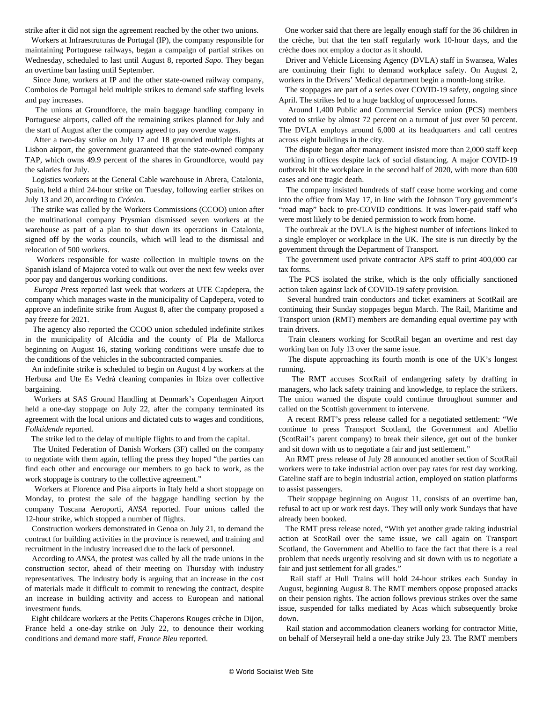strike after it did not sign the agreement reached by the other two unions.

 Workers at Infraestruturas de Portugal (IP), the company responsible for maintaining Portuguese railways, began a campaign of partial strikes on Wednesday, scheduled to last until August 8, reported *Sapo*. They began an overtime ban lasting until September.

 Since June, workers at IP and the other state-owned railway company, Comboios de Portugal held multiple strikes to demand safe staffing levels and pay increases.

 The unions at Groundforce, the main baggage handling company in Portuguese airports, called off the remaining strikes planned for July and the start of August after the company agreed to pay overdue wages.

 After a two-day strike on July 17 and 18 grounded multiple flights at Lisbon airport, the government guaranteed that the state-owned company TAP, which owns 49.9 percent of the shares in Groundforce, would pay the salaries for July.

 Logistics workers at the General Cable warehouse in Abrera, Catalonia, Spain, held a third 24-hour strike on Tuesday, following earlier strikes on July 13 and 20, according to *Crónica*.

 The strike was called by the Workers Commissions (CCOO) union after the multinational company Prysmian dismissed seven workers at the warehouse as part of a plan to shut down its operations in Catalonia, signed off by the works councils, which will lead to the dismissal and relocation of 500 workers.

 Workers responsible for waste collection in multiple towns on the Spanish island of Majorca voted to walk out over the next few weeks over poor pay and dangerous working conditions.

 *Europa Press* reported last week that workers at UTE Capdepera, the company which manages waste in the municipality of Capdepera, voted to approve an indefinite strike from August 8, after the company proposed a pay freeze for 2021.

 The agency also reported the CCOO union scheduled indefinite strikes in the municipality of Alcúdia and the county of Pla de Mallorca beginning on August 16, stating working conditions were unsafe due to the conditions of the vehicles in the subcontracted companies.

 An indefinite strike is scheduled to begin on August 4 by workers at the Herbusa and Ute Es Vedrà cleaning companies in Ibiza over collective bargaining.

 Workers at SAS Ground Handling at Denmark's Copenhagen Airport held a one-day stoppage on July 22, after the company terminated its agreement with the local unions and dictated cuts to wages and conditions, *Folktidende* reported.

The strike led to the delay of multiple flights to and from the capital.

 The United Federation of Danish Workers (3F) called on the company to negotiate with them again, telling the press they hoped "the parties can find each other and encourage our members to go back to work, as the work stoppage is contrary to the collective agreement."

 Workers at Florence and Pisa airports in Italy held a short stoppage on Monday, to protest the sale of the baggage handling section by the company Toscana Aeroporti, *ANSA* reported. Four unions called the 12-hour strike, which stopped a number of flights.

 Construction workers demonstrated in Genoa on July 21, to demand the contract for building activities in the province is renewed, and training and recruitment in the industry increased due to the lack of personnel.

 According to *ANSA*, the protest was called by all the trade unions in the construction sector, ahead of their meeting on Thursday with industry representatives. The industry body is arguing that an increase in the cost of materials made it difficult to commit to renewing the contract, despite an increase in building activity and access to European and national investment funds.

 Eight childcare workers at the Petits Chaperons Rouges crèche in Dijon, France held a one-day strike on July 22, to denounce their working conditions and demand more staff, *France Bleu* reported.

 One worker said that there are legally enough staff for the 36 children in the crèche, but that the ten staff regularly work 10-hour days, and the crèche does not employ a doctor as it should.

 Driver and Vehicle Licensing Agency (DVLA) staff in Swansea, Wales are continuing their fight to demand workplace safety. On August 2, workers in the Drivers' Medical department begin a month-long strike.

 The stoppages are part of a series over COVID-19 safety, ongoing since April. The strikes led to a huge backlog of unprocessed forms.

 Around 1,400 Public and Commercial Service union (PCS) members voted to strike by almost 72 percent on a turnout of just over 50 percent. The DVLA employs around 6,000 at its headquarters and call centres across eight buildings in the city.

 The dispute began after management insisted more than 2,000 staff keep working in offices despite lack of social distancing. A major COVID-19 outbreak hit the workplace in the second half of 2020, with more than 600 cases and one tragic death.

 The company insisted hundreds of staff cease home working and come into the office from May 17, in line with the Johnson Tory government's "road map" back to pre-COVID conditions. It was lower-paid staff who were most likely to be denied permission to work from home.

 The outbreak at the DVLA is the [highest](/en/articles/2021/01/26/dvla-j01.html) number of infections linked to a single employer or workplace in the UK. The site is run directly by the government through the Department of Transport.

 The government used private contractor APS staff to print 400,000 car tax forms.

 The PCS isolated the strike, which is the only officially sanctioned action taken against lack of COVID-19 safety provision.

 Several hundred train conductors and ticket examiners at ScotRail are continuing their Sunday stoppages begun March. The Rail, Maritime and Transport union (RMT) members are demanding equal overtime pay with train drivers.

 Train cleaners working for ScotRail began an overtime and rest day working ban on July 13 over the same issue.

 The dispute approaching its fourth month is one of the UK's longest running.

 The RMT accuses ScotRail of endangering safety by drafting in managers, who lack safety training and knowledge, to replace the strikers. The union warned the dispute could continue throughout summer and called on the Scottish government to intervene.

 A recent RMT's press release called for a negotiated settlement: "We continue to press Transport Scotland, the Government and Abellio (ScotRail's parent company) to break their silence, get out of the bunker and sit down with us to negotiate a fair and just settlement."

 An RMT press release of July 28 announced another section of ScotRail workers were to take industrial action over pay rates for rest day working. Gateline staff are to begin industrial action, employed on station platforms to assist passengers.

 Their stoppage beginning on August 11, consists of an overtime ban, refusal to act up or work rest days. They will only work Sundays that have already been booked.

 The RMT press release noted, "With yet another grade taking industrial action at ScotRail over the same issue, we call again on Transport Scotland, the Government and Abellio to face the fact that there is a real problem that needs urgently resolving and sit down with us to negotiate a fair and just settlement for all grades."

 Rail staff at Hull Trains will hold 24-hour strikes each Sunday in August, beginning August 8. The RMT members oppose proposed attacks on their pension rights. The action follows previous strikes over the same issue, suspended for talks mediated by Acas which subsequently broke down.

 Rail station and accommodation cleaners working for contractor Mitie, on behalf of Merseyrail held a one-day strike July 23. The RMT members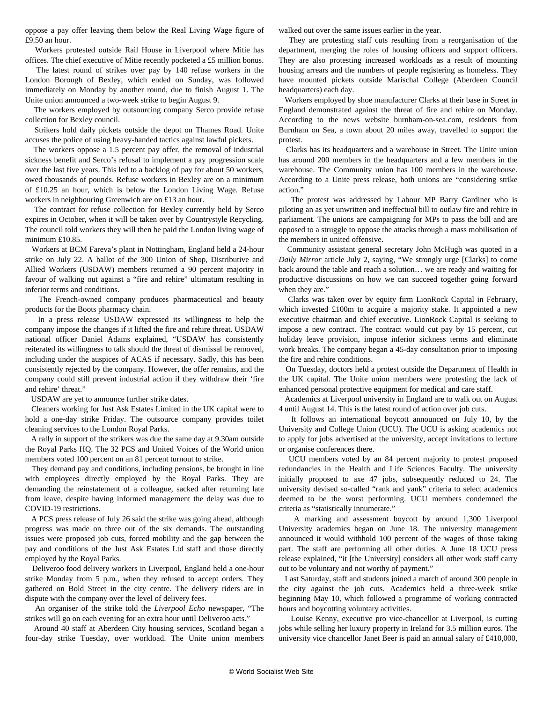oppose a pay offer leaving them below the Real Living Wage figure of £9.50 an hour.

 Workers protested outside Rail House in Liverpool where Mitie has offices. The chief executive of Mitie recently pocketed a £5 million bonus.

 The latest round of strikes over pay by 140 refuse workers in the London Borough of Bexley, which ended on Sunday, was followed immediately on Monday by another round, due to finish August 1. The Unite union announced a two-week strike to begin August 9.

 The workers employed by outsourcing company Serco provide refuse collection for Bexley council.

 Strikers hold daily pickets outside the depot on Thames Road. Unite accuses the police of using heavy-handed tactics against lawful pickets.

 The workers oppose a 1.5 percent pay offer, the removal of industrial sickness benefit and Serco's refusal to implement a pay progression scale over the last five years. This led to a backlog of pay for about 50 workers, owed thousands of pounds. Refuse workers in Bexley are on a minimum of £10.25 an hour, which is below the London Living Wage. Refuse workers in neighbouring Greenwich are on £13 an hour.

 The contract for refuse collection for Bexley currently held by Serco expires in October, when it will be taken over by Countrystyle Recycling. The council told workers they will then be paid the London living wage of minimum £10.85.

 Workers at BCM Fareva's plant in Nottingham, England held a 24-hour strike on July 22. A ballot of the 300 Union of Shop, Distributive and Allied Workers (USDAW) members returned a 90 percent majority in favour of walking out against a "fire and rehire" ultimatum resulting in inferior terms and conditions.

 The French-owned company produces pharmaceutical and beauty products for the Boots pharmacy chain.

 In a press release USDAW expressed its willingness to help the company impose the changes if it lifted the fire and rehire threat. USDAW national officer Daniel Adams explained, "USDAW has consistently reiterated its willingness to talk should the threat of dismissal be removed, including under the auspices of ACAS if necessary. Sadly, this has been consistently rejected by the company. However, the offer remains, and the company could still prevent industrial action if they withdraw their 'fire and rehire' threat."

USDAW are yet to announce further strike dates.

 Cleaners working for Just Ask Estates Limited in the UK capital were to hold a one-day strike Friday. The outsource company provides toilet cleaning services to the London Royal Parks.

 A rally in support of the strikers was due the same day at 9.30am outside the Royal Parks HQ. The 32 PCS and United Voices of the World union members voted 100 percent on an 81 percent turnout to strike.

 They demand pay and conditions, including pensions, be brought in line with employees directly employed by the Royal Parks. They are demanding the reinstatement of a colleague, sacked after returning late from leave, despite having informed management the delay was due to COVID-19 restrictions.

 A PCS press release of July 26 said the strike was going ahead, although progress was made on three out of the six demands. The outstanding issues were proposed job cuts, forced mobility and the gap between the pay and conditions of the Just Ask Estates Ltd staff and those directly employed by the Royal Parks.

 Deliveroo food delivery workers in Liverpool, England held a one-hour strike Monday from 5 p.m., when they refused to accept orders. They gathered on Bold Street in the city centre. The delivery riders are in dispute with the company over the level of delivery fees.

 An organiser of the strike told the *Liverpool Echo* newspaper, "The strikes will go on each evening for an extra hour until Deliveroo acts."

 Around 40 staff at Aberdeen City housing services, Scotland began a four-day strike Tuesday, over workload. The Unite union members

walked out over the same issues earlier in the year.

 They are protesting staff cuts resulting from a reorganisation of the department, merging the roles of housing officers and support officers. They are also protesting increased workloads as a result of mounting housing arrears and the numbers of people registering as homeless. They have mounted pickets outside Marischal College (Aberdeen Council headquarters) each day.

 Workers employed by shoe manufacturer Clarks at their base in Street in England demonstrated against the threat of fire and rehire on Monday. According to the news website burnham-on-sea.com*,* residents from Burnham on Sea, a town about 20 miles away, travelled to support the protest.

 Clarks has its headquarters and a warehouse in Street. The Unite union has around 200 members in the headquarters and a few members in the warehouse. The Community union has 100 members in the warehouse. According to a Unite press release, both unions are "considering strike action."

 The protest was addressed by Labour MP Barry Gardiner who is piloting an as yet unwritten and ineffectual bill to outlaw fire and rehire in parliament. The unions are campaigning for MPs to pass the bill and are opposed to a struggle to oppose the attacks through a mass mobilisation of the members in united offensive.

 Community assistant general secretary John McHugh was quoted in a *Daily Mirror* article July 2, saying, "We strongly urge [Clarks] to come back around the table and reach a solution… we are ready and waiting for productive discussions on how we can succeed together going forward when they are."

 Clarks was taken over by equity firm LionRock Capital in February, which invested £100m to acquire a majority stake. It appointed a new executive chairman and chief executive. LionRock Capital is seeking to impose a new contract. The contract would cut pay by 15 percent, cut holiday leave provision, impose inferior sickness terms and eliminate work breaks. The company began a 45-day consultation prior to imposing the fire and rehire conditions.

 On Tuesday, doctors held a protest outside the Department of Health in the UK capital. The Unite union members were protesting the lack of enhanced personal protective equipment for medical and care staff.

 Academics at Liverpool university in England are to walk out on August 4 until August 14. This is the latest round of action over job cuts.

 It follows an international boycott announced on July 10, by the University and College Union (UCU). The UCU is asking academics not to apply for jobs advertised at the university, accept invitations to lecture or organise conferences there.

 UCU members voted by an 84 percent majority to protest proposed redundancies in the Health and Life Sciences Faculty. The university initially proposed to axe 47 jobs, subsequently reduced to 24. The university devised so-called "rank and yank" criteria to select academics deemed to be the worst performing. UCU members condemned the criteria as "statistically innumerate."

 A marking and assessment boycott by around 1,300 Liverpool University academics began on June 18. The university management announced it would withhold 100 percent of the wages of those taking part. The staff are performing all other duties. A June 18 UCU press release explained, "it [the University] considers all other work staff carry out to be voluntary and not worthy of payment."

 Last Saturday, staff and students joined a march of around 300 people in the city against the job cuts. Academics held a three-week strike beginning May 10, which followed a programme of working contracted hours and boycotting voluntary activities.

 Louise Kenny, executive pro vice-chancellor at Liverpool, is cutting jobs while selling her luxury property in Ireland for 3.5 million euros. The university vice chancellor Janet Beer is paid an annual salary of £410,000,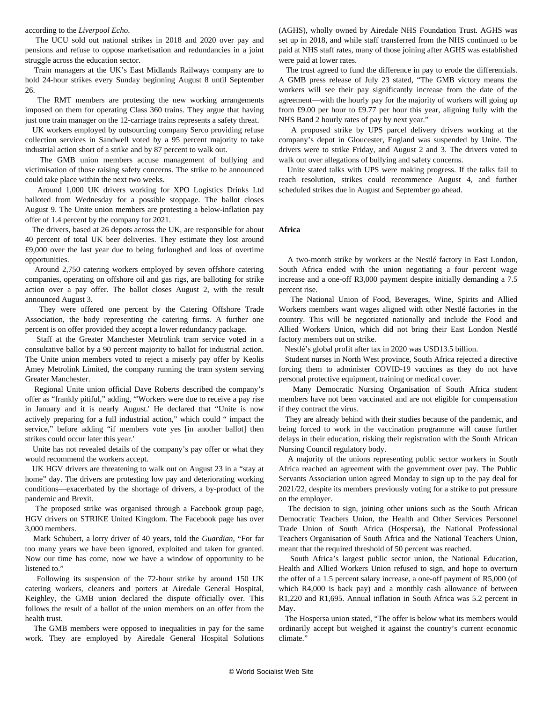#### according to the *Liverpool Echo*.

 The UCU sold out national strikes in 2018 and 2020 over pay and pensions and refuse to oppose marketisation and redundancies in a joint struggle across the education sector.

 Train managers at the UK's East Midlands Railways company are to hold 24-hour strikes every Sunday beginning August 8 until September 26.

 The RMT members are protesting the new working arrangements imposed on them for operating Class 360 trains. They argue that having just one train manager on the 12-carriage trains represents a safety threat.

 UK workers employed by outsourcing company Serco providing refuse collection services in Sandwell voted by a 95 percent majority to take industrial action short of a strike and by 87 percent to walk out.

 The GMB union members accuse management of bullying and victimisation of those raising safety concerns. The strike to be announced could take place within the next two weeks.

 Around 1,000 UK drivers working for XPO Logistics Drinks Ltd balloted from Wednesday for a possible stoppage. The ballot closes August 9. The Unite union members are protesting a below-inflation pay offer of 1.4 percent by the company for 2021.

 The drivers, based at 26 depots across the UK, are responsible for about 40 percent of total UK beer deliveries. They estimate they lost around £9,000 over the last year due to being furloughed and loss of overtime opportunities.

 Around 2,750 catering workers employed by seven offshore catering companies, operating on offshore oil and gas rigs, are balloting for strike action over a pay offer. The ballot closes August 2, with the result announced August 3.

 They were offered one percent by the Catering Offshore Trade Association, the body representing the catering firms. A further one percent is on offer provided they accept a lower redundancy package.

 Staff at the Greater Manchester Metrolink tram service voted in a consultative ballot by a 90 percent majority to ballot for industrial action. The Unite union members voted to reject a miserly pay offer by Keolis Amey Metrolink Limited, the company running the tram system serving Greater Manchester.

 Regional Unite union official Dave Roberts described the company's offer as "frankly pitiful," adding, "'Workers were due to receive a pay rise in January and it is nearly August.' He declared that "Unite is now actively preparing for a full industrial action," which could " impact the service," before adding "if members vote yes [in another ballot] then strikes could occur later this year.'

 Unite has not revealed details of the company's pay offer or what they would recommend the workers accept.

 UK HGV drivers are threatening to walk out on August 23 in a "stay at home" day. The drivers are protesting low pay and deteriorating working conditions—exacerbated by the shortage of drivers, a by-product of the pandemic and Brexit.

 The proposed strike was organised through a Facebook group page, HGV drivers on STRIKE United Kingdom. The Facebook page has over 3,000 members.

 Mark Schubert, a lorry driver of 40 years, told the *Guardian*, "For far too many years we have been ignored, exploited and taken for granted. Now our time has come, now we have a window of opportunity to be listened to."

 Following its suspension of the 72-hour strike by around 150 UK catering workers, cleaners and porters at Airedale General Hospital, Keighley, the GMB union declared the dispute officially over. This follows the result of a ballot of the union members on an offer from the health trust.

 The GMB members were opposed to inequalities in pay for the same work. They are employed by Airedale General Hospital Solutions

(AGHS), wholly owned by Airedale NHS Foundation Trust. AGHS was set up in 2018, and while staff transferred from the NHS continued to be paid at NHS staff rates, many of those joining after AGHS was established were paid at lower rates.

 The trust agreed to fund the difference in pay to erode the differentials. A GMB press release of July 23 stated, "The GMB victory means the workers will see their pay significantly increase from the date of the agreement—with the hourly pay for the majority of workers will going up from £9.00 per hour to £9.77 per hour this year, aligning fully with the NHS Band 2 hourly rates of pay by next year."

 A proposed strike by UPS parcel delivery drivers working at the company's depot in Gloucester, England was suspended by Unite. The drivers were to strike Friday, and August 2 and 3. The drivers voted to walk out over allegations of bullying and safety concerns.

 Unite stated talks with UPS were making progress. If the talks fail to reach resolution, strikes could recommence August 4, and further scheduled strikes due in August and September go ahead.

### **Africa**

 A two-month strike by workers at the Nestlé factory in East London, South Africa ended with the union negotiating a four percent wage increase and a one-off R3,000 payment despite initially demanding a 7.5 percent rise.

 The National Union of Food, Beverages, Wine, Spirits and Allied Workers members want wages aligned with other Nestlé factories in the country. This will be negotiated nationally and include the Food and Allied Workers Union, which did not bring their East London Nestlé factory members out on strike.

Nestlé's global profit after tax in 2020 was USD13.5 billion.

 Student nurses in North West province, South Africa rejected a directive forcing them to administer COVID-19 vaccines as they do not have personal protective equipment, training or medical cover.

 Many Democratic Nursing Organisation of South Africa student members have not been vaccinated and are not eligible for compensation if they contract the virus.

 They are already behind with their studies because of the pandemic, and being forced to work in the vaccination programme will cause further delays in their education, risking their registration with the South African Nursing Council regulatory body.

 A majority of the unions representing public sector workers in South Africa reached an agreement with the government over pay. The Public Servants Association union agreed Monday to sign up to the pay deal for 2021/22, despite its members previously voting for a strike to put pressure on the employer.

 The decision to sign, joining other unions such as the South African Democratic Teachers Union, the Health and Other Services Personnel Trade Union of South Africa (Hospersa), the National Professional Teachers Organisation of South Africa and the National Teachers Union, meant that the required threshold of 50 percent was reached.

 South Africa's largest public sector union, the National Education, Health and Allied Workers Union refused to sign, and hope to overturn the offer of a 1.5 percent salary increase, a one-off payment of R5,000 (of which R4,000 is back pay) and a monthly cash allowance of between R1,220 and R1,695. Annual inflation in South Africa was 5.2 percent in May.

 The Hospersa union stated, "The offer is below what its members would ordinarily accept but weighed it against the country's current economic climate."